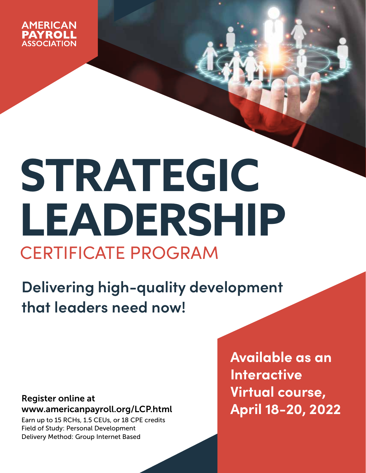

# **STRATEGIC LEADERSHIP** CERTIFICATE PROGRAM

**Delivering high-quality development that leaders need now!**

# Register online at www.americanpayroll.org/LCP.html

Earn up to 15 RCHs, 1.5 CEUs, or 18 CPE credits Field of Study: Personal Development Delivery Method: Group Internet Based

**Available as an Interactive Virtual course, April 18-20, 2022**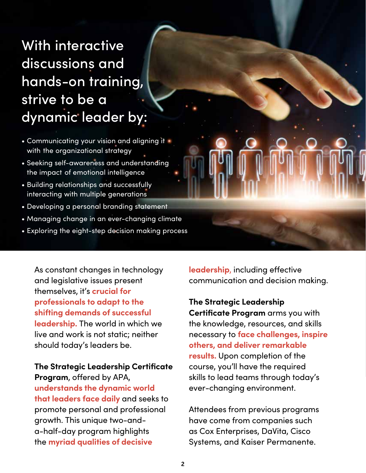# With interactive discussions and hands-on training, strive to be a dynamic leader by:

- Communicating your vision and aligning it with the organizational strategy
- Seeking self-awareness and understanding the impact of emotional intelligence
- Building relationships and successfully interacting with multiple generations
- Developing a personal branding statement
- Managing change in an ever-changing climate
- Exploring the eight-step decision making process

As constant changes in technology and legislative issues present themselves, it's **crucial for professionals to adapt to the shifting demands of successful leadership.** The world in which we live and work is not static; neither should today's leaders be.

**The Strategic Leadership Certificate Program**, offered by APA, **understands the dynamic world that leaders face daily** and seeks to promote personal and professional growth. This unique two-anda-half-day program highlights the **myriad qualities of decisive** 

**leadership**, including effective communication and decision making.

**The Strategic Leadership Certificate Program** arms you with the knowledge, resources, and skills necessary to **face challenges, inspire others, and deliver remarkable results.** Upon completion of the course, you'll have the required skills to lead teams through today's ever-changing environment.

Attendees from previous programs have come from companies such as Cox Enterprises, DaVita, Cisco Systems, and Kaiser Permanente.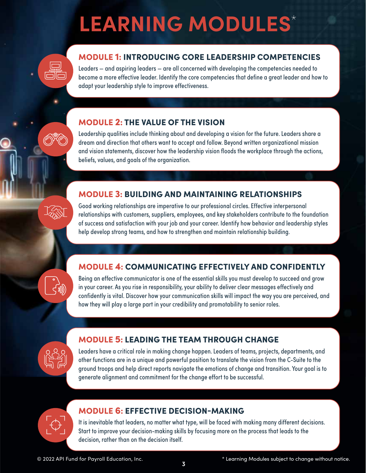# **LEARNING MODULES**\*



## MODULE 1: INTRODUCING CORE LEADERSHIP COMPETENCIES

Leaders — and aspiring leaders — are all concerned with developing the competencies needed to become a more effective leader. Identify the core competencies that define a great leader and how to adapt your leadership style to improve effectiveness.

#### MODULE 2: THE VALUE OF THE VISION

Leadership qualities include thinking about and developing a vision for the future. Leaders share a dream and direction that others want to accept and follow. Beyond written organizational mission and vision statements, discover how the leadership vision floods the workplace through the actions, beliefs, values, and goals of the organization.

## MODULE 3: BUILDING AND MAINTAINING RELATIONSHIPS

Good working relationships are imperative to our professional circles. Effective interpersonal relationships with customers, suppliers, employees, and key stakeholders contribute to the foundation of success and satisfaction with your job and your career. Identify how behavior and leadership styles help develop strong teams, and how to strengthen and maintain relationship building.

## MODULE 4: COMMUNICATING EFFECTIVELY AND CONFIDENTLY

Being an effective communicator is one of the essential skills you must develop to succeed and grow in your career. As you rise in responsibility, your ability to deliver clear messages effectively and confidently is vital. Discover how your communication skills will impact the way you are perceived, and how they will play a large part in your credibility and promotability to senior roles.

#### MODULE 5: LEADING THE TEAM THROUGH CHANGE

Leaders have a critical role in making change happen. Leaders of teams, projects, departments, and other functions are in a unique and powerful position to translate the vision from the C-Suite to the ground troops and help direct reports navigate the emotions of change and transition. Your goal is to generate alignment and commitment for the change effort to be successful.



#### MODULE 6: EFFECTIVE DECISION-MAKING

It is inevitable that leaders, no matter what type, will be faced with making many different decisions. Start to improve your decision-making skills by focusing more on the process that leads to the decision, rather than on the decision itself.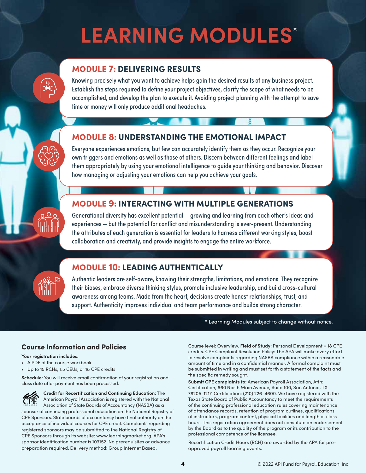# **LEARNING MODULES**\*

#### MODULE 7: DELIVERING RESULTS

Knowing precisely what you want to achieve helps gain the desired results of any business project. Establish the steps required to define your project objectives, clarify the scope of what needs to be accomplished, and develop the plan to execute it. Avoiding project planning with the attempt to save time or money will only produce additional headaches.

#### MODULE 8: UNDERSTANDING THE EMOTIONAL IMPACT

Everyone experiences emotions, but few can accurately identify them as they occur. Recognize your own triggers and emotions as well as those of others. Discern between different feelings and label them appropriately by using your emotional intelligence to guide your thinking and behavior. Discover how managing or adjusting your emotions can help you achieve your goals.

## MODULE 9: INTERACTING WITH MULTIPLE GENERATIONS

Generational diversity has excellent potential — growing and learning from each other's ideas and experiences — but the potential for conflict and misunderstanding is ever-present. Understanding the attributes of each generation is essential for leaders to harness different working styles, boost collaboration and creativity, and provide insights to engage the entire workforce.

 $0.90$ 

#### MODULE 10: LEADING AUTHENTICALLY

Authentic leaders are self-aware, knowing their strengths, limitations, and emotions. They recognize their biases, embrace diverse thinking styles, promote inclusive leadership, and build cross-cultural awareness among teams. Made from the heart, decisions create honest relationships, trust, and support. Authenticity improves individual and team performance and builds strong character.

\* Learning Modules subject to change without notice. \* Learning Modules subject to change without notice.

#### Course Information and Policies

**Your registration includes:**

- A PDF of the course workbook
- Up to 15 RCHs, 1.5 CEUs, or 18 CPE credits

**Schedule:** You will receive email confirmation of your registration and class date after payment has been processed.

**Credit for Recertification and Continuing Education:** The American Payroll Association is registered with the National Association of State Boards of Accountancy (NASBA) as a sponsor of continuing professional education on the National Registry of CPE Sponsors. State boards of accountancy have final authority on the acceptance of individual courses for CPE credit. Complaints regarding registered sponsors may be submitted to the National Registry of CPE Sponsors through its website: [www.learningmarket.org](http://www.learningmarket.org). APA's sponsor identification number is 103152. No prerequisites or advance preparation required. Delivery method: Group Internet Based.

Course level: Overview. **Field of Study:** Personal Development = 18 CPE credits. CPE Complaint Resolution Policy: The APA will make every effort to resolve complaints regarding NASBA compliance within a reasonable amount of time and in a confidential manner. A formal complaint must be submitted in writing and must set forth a statement of the facts and the specific remedy sought.

**Submit CPE complaints to:** American Payroll Association, Attn: Certification, 660 North Main Avenue, Suite 100, San Antonio, TX 78205-1217. Certification: (210) 226-4600. We have registered with the Texas State Board of Public Accountancy to meet the requirements of the continuing professional education rules covering maintenance of attendance records, retention of program outlines, qualifications of instructors, program content, physical facilities and length of class hours. This registration agreement does not constitute an endorsement by the Board as to the quality of the program or its contribution to the professional competence of the licensee.

Recertification Credit Hours (RCH) are awarded by the APA for preapproved payroll learning events.